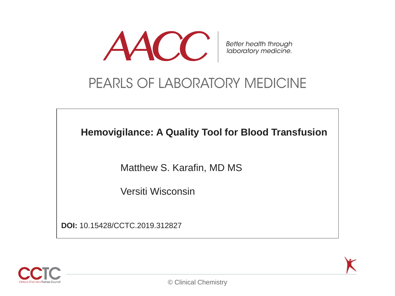

### PEARLS OF LABORATORY MEDICINE

**Hemovigilance: A Quality Tool for Blood Transfusion**

Matthew S. Karafin, MD MS

Versiti Wisconsin

**DOI:** 10.15428/CCTC.2019.312827

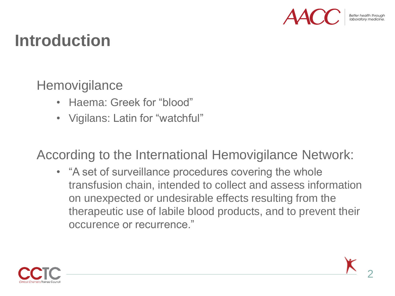

## **Introduction**

**Hemovigilance** 

- Haema: Greek for "blood"
- Vigilans: Latin for "watchful"

According to the International Hemovigilance Network:

• "A set of surveillance procedures covering the whole transfusion chain, intended to collect and assess information on unexpected or undesirable effects resulting from the therapeutic use of labile blood products, and to prevent their occurence or recurrence."

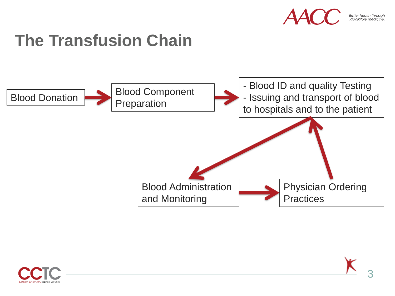

Better health through<br>Iaboratory medicine

# **The Transfusion Chain**



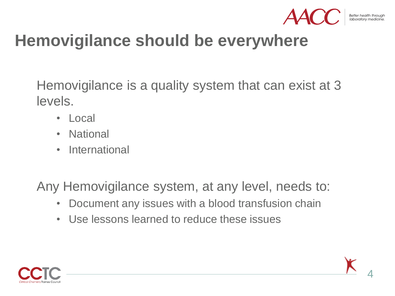

## **Hemovigilance should be everywhere**

Hemovigilance is a quality system that can exist at 3 levels.

- Local
- National
- International

Any Hemovigilance system, at any level, needs to:

- Document any issues with a blood transfusion chain
- Use lessons learned to reduce these issues



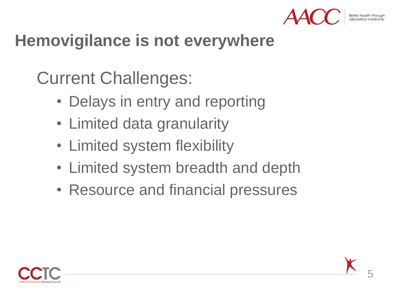

# **Hemovigilance is not everywhere**

Current Challenges:

- Delays in entry and reporting
- Limited data granularity
- Limited system flexibility
- Limited system breadth and depth
- Resource and financial pressures

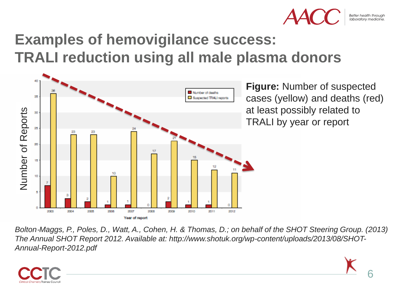

## **Examples of hemovigilance success: TRALI reduction using all male plasma donors**



*Bolton*‐*Maggs, P., Poles, D., Watt, A., Cohen, H. & Thomas, D.; on behalf of the SHOT Steering Group. (2013) The Annual SHOT Report 2012. Available at: http://www.shotuk.org/wp-content/uploads/2013/08/SHOT-*

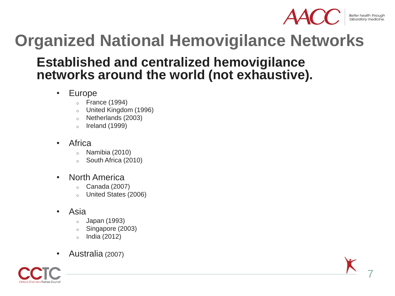

# **Organized National Hemovigilance Networks**

#### **Established and centralized hemovigilance networks around the world (not exhaustive).**

- Europe
	- $\circ$  France (1994)
	- <sup>o</sup> United Kingdom (1996)
	- <sup>o</sup> Netherlands (2003)
	- $\circ$  Ireland (1999)
- **Africa** 
	- $\circ$  Namibia (2010)
	- South Africa (2010)
- North America
	- $\circ$  Canada (2007)
	- o United States (2006)
- Asia
	- o Japan (1993)
	- o Singapore (2003)
	- o India (2012)
- Australia (2007)

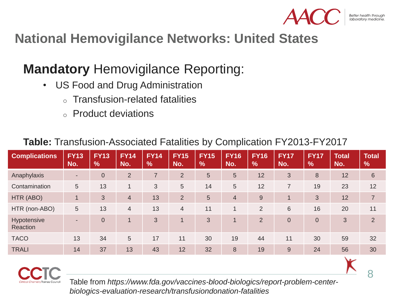

8

#### **National Hemovigilance Networks: United States**

#### **Mandatory** Hemovigilance Reporting:

- US Food and Drug Administration
	- **Transfusion-related fatalities**
	- <sup>o</sup> Product deviations

| <b>Complications</b>    | <b>FY13</b><br>No.       | <b>FY13</b><br>$\frac{9}{6}$ | <b>FY14</b><br>No. | <b>FY14</b><br>$\frac{9}{6}$ | <b>FY15</b><br>No. | <b>FY15</b><br>$\frac{1}{2}$ | <b>FY16</b><br>No.         | <b>FY16</b><br>$\frac{1}{2}$ | <b>FY17</b><br>No. | <b>FY17</b><br>$\frac{9}{6}$ | <b>Total</b><br>No. | <b>Total</b><br>$\frac{9}{6}$ |
|-------------------------|--------------------------|------------------------------|--------------------|------------------------------|--------------------|------------------------------|----------------------------|------------------------------|--------------------|------------------------------|---------------------|-------------------------------|
| Anaphylaxis             | ٠                        | $\overline{0}$               | $\overline{2}$     | $\overline{7}$               | $\overline{2}$     | 5                            | 5                          | 12                           | 3                  | 8                            | 12                  | 6                             |
| Contamination           | 5                        | 13                           |                    | 3                            | 5                  | 14                           | 5                          | 12                           | $\overline{7}$     | 19                           | 23                  | 12                            |
| HTR (ABO)               |                          | 3                            | $\overline{4}$     | 13                           | $\overline{2}$     | 5                            | $\overline{4}$             | $9$                          | -1                 | 3                            | 12                  | $\overline{7}$                |
| HTR (non-ABO)           | 5                        | 13                           | $\overline{4}$     | 13                           | $\overline{4}$     | 11                           | $\boldsymbol{\mathcal{A}}$ | $\overline{2}$               | 6                  | 16                           | 20                  | 11                            |
| Hypotensive<br>Reaction | $\overline{\phantom{a}}$ | $\overline{0}$               |                    | 3                            |                    | 3                            |                            | $\overline{2}$               | $\overline{0}$     | $\overline{0}$               | 3                   | $\overline{2}$                |
| <b>TACO</b>             | 13                       | 34                           | $5\phantom{.0}$    | 17                           | 11                 | 30                           | 19                         | 44                           | 11                 | 30                           | 59                  | 32                            |
| <b>TRALI</b>            | 14                       | 37                           | 13                 | 43                           | 12                 | 32                           | 8                          | 19                           | 9                  | 24                           | 56                  | 30                            |

#### **Table:** Transfusion-Associated Fatalities by Complication FY2013-FY2017



Table from *https://www.fda.gov/vaccines-blood-biologics/report-problem-centerbiologics-evaluation-research/transfusiondonation-fatalities*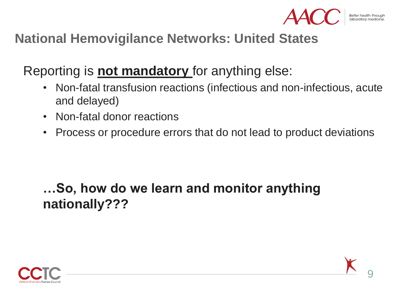

#### **National Hemovigilance Networks: United States**

Reporting is **not mandatory** for anything else:

- Non-fatal transfusion reactions (infectious and non-infectious, acute and delayed)
- Non-fatal donor reactions
- Process or procedure errors that do not lead to product deviations

### **…So, how do we learn and monitor anything nationally???**

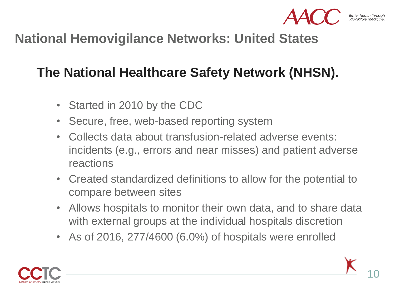

#### **National Hemovigilance Networks: United States**

### **The National Healthcare Safety Network (NHSN).**

- Started in 2010 by the CDC
- Secure, free, web-based reporting system
- Collects data about transfusion-related adverse events: incidents (e.g., errors and near misses) and patient adverse reactions
- Created standardized definitions to allow for the potential to compare between sites
- Allows hospitals to monitor their own data, and to share data with external groups at the individual hospitals discretion
- As of 2016, 277/4600 (6.0%) of hospitals were enrolled

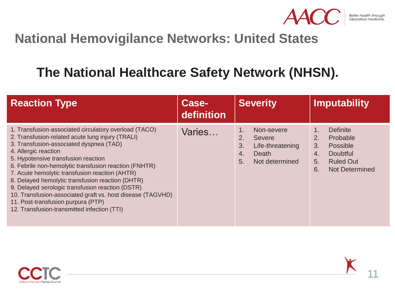

#### **National Hemovigilance Networks: United States**

#### **The National Healthcare Safety Network (NHSN).**

| <b>Reaction Type</b>                                                                                                                                                                                                                                                                                                                                                                                                                                                                                                                                                                      | <b>Case-</b><br>definition | <b>Severity</b>                                                                                          | Imputability                                                                                                                                              |
|-------------------------------------------------------------------------------------------------------------------------------------------------------------------------------------------------------------------------------------------------------------------------------------------------------------------------------------------------------------------------------------------------------------------------------------------------------------------------------------------------------------------------------------------------------------------------------------------|----------------------------|----------------------------------------------------------------------------------------------------------|-----------------------------------------------------------------------------------------------------------------------------------------------------------|
| 1. Transfusion-associated circulatory overload (TACO)<br>2. Transfusion-related acute lung injury (TRALI)<br>3. Transfusion-associated dyspnea (TAD)<br>4. Allergic reaction<br>5. Hypotensive transfusion reaction<br>6. Febrile non-hemolytic transfusion reaction (FNHTR)<br>7. Acute hemolytic transfusion reaction (AHTR)<br>8. Delayed hemolytic transfusion reaction (DHTR)<br>9. Delayed serologic transfusion reaction (DSTR)<br>10. Transfusion-associated graft vs. host disease (TAGVHD)<br>11. Post-transfusion purpura (PTP)<br>12. Transfusion-transmitted infection (TTI) | Varies                     | Non-severe<br>1.<br>2.<br><b>Severe</b><br>3.<br>Life-threatening<br>Death<br>4.<br>5.<br>Not determined | <b>Definite</b><br>1.<br>2.<br>Probable<br>3.<br>Possible<br><b>Doubtful</b><br>$\overline{4}$ .<br>5.<br><b>Ruled Out</b><br>6.<br><b>Not Determined</b> |



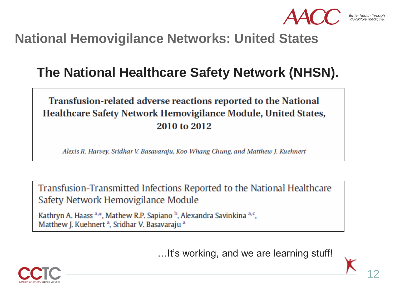

#### **National Hemovigilance Networks: United States**

#### **The National Healthcare Safety Network (NHSN).**

#### Transfusion-related adverse reactions reported to the National Healthcare Safety Network Hemovigilance Module, United States, 2010 to 2012

Alexis R. Harvey, Sridhar V. Basavaraju, Koo-Whang Chung, and Matthew J. Kuehnert

Transfusion-Transmitted Infections Reported to the National Healthcare Safety Network Hemovigilance Module

Kathryn A. Haass <sup>a,\*</sup>, Mathew R.P. Sapiano <sup>b</sup>, Alexandra Savinkina <sup>a, c</sup>, Matthew J. Kuehnert<sup>a</sup>, Sridhar V. Basavaraju<sup>a</sup>

…It's working, and we are learning stuff!

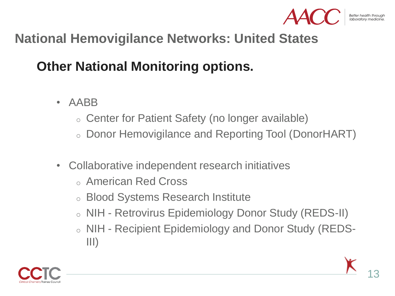

#### **National Hemovigilance Networks: United States**

#### **Other National Monitoring options.**

- AABB
	- o Center for Patient Safety (no longer available)
	- o Donor Hemovigilance and Reporting Tool (DonorHART)
- Collaborative independent research initiatives
	- o American Red Cross
	- o Blood Systems Research Institute
	- o NIH Retrovirus Epidemiology Donor Study (REDS-II)
	- <sup>o</sup> NIH Recipient Epidemiology and Donor Study (REDS-III)

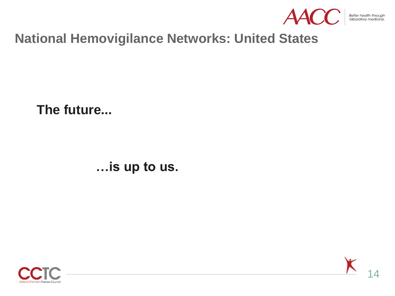

Better health through<br>laboratory medicine.

#### **National Hemovigilance Networks: United States**

**The future...**

**…is up to us.**



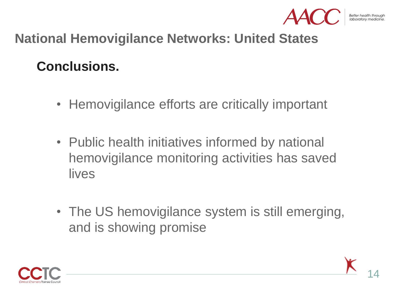

#### **National Hemovigilance Networks: United States**

#### **Conclusions.**

- Hemovigilance efforts are critically important
- Public health initiatives informed by national hemovigilance monitoring activities has saved lives
- The US hemovigilance system is still emerging, and is showing promise

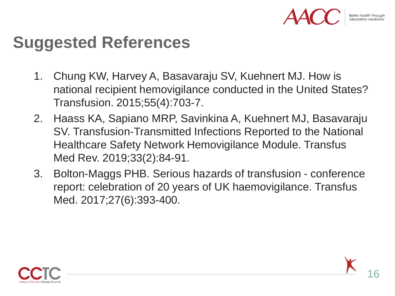## **Suggested References**

- 1. Chung KW, Harvey A, Basavaraju SV, Kuehnert MJ. How is national recipient hemovigilance conducted in the United States? Transfusion. 2015;55(4):703-7.
- 2. Haass KA, Sapiano MRP, Savinkina A, Kuehnert MJ, Basavaraju SV. Transfusion-Transmitted Infections Reported to the National Healthcare Safety Network Hemovigilance Module. Transfus Med Rev. 2019;33(2):84-91.
- 3. Bolton-Maggs PHB. Serious hazards of transfusion conference report: celebration of 20 years of UK haemovigilance. Transfus Med. 2017;27(6):393-400.

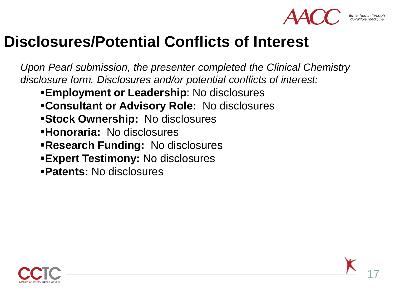

17

## **Disclosures/Potential Conflicts of Interest**

*Upon Pearl submission, the presenter completed the Clinical Chemistry disclosure form. Disclosures and/or potential conflicts of interest:*

- **Employment or Leadership: No disclosures**
- ▪**Consultant or Advisory Role:** No disclosures
- **EStock Ownership: No disclosures**
- ▪**Honoraria:** No disclosures
- **Research Funding: No disclosures**
- **Expert Testimony: No disclosures**
- ▪**Patents:** No disclosures